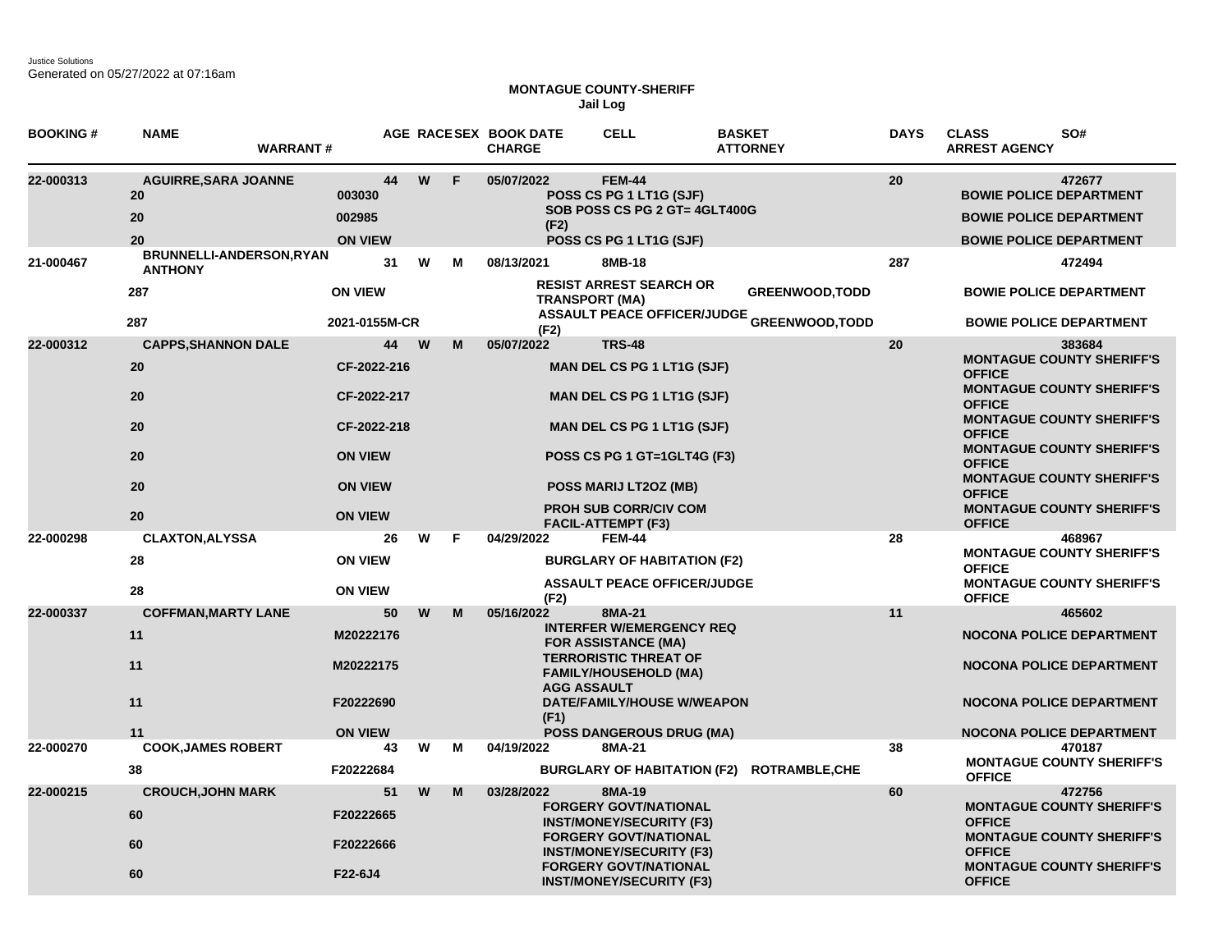Justice Solutions Generated on 05/27/2022 at 07:16am

## **MONTAGUE COUNTY-SHERIFF Jail Log**

| <b>BOOKING#</b> | <b>NAME</b><br><b>WARRANT#</b>                     |                                                       |    |               | AGE RACESEX BOOK DATE<br><b>CHARGE</b> |                            | <b>CELL</b>                                                                                                                                                                                                     | <b>BASKET</b><br><b>ATTORNEY</b>                  | <b>DAYS</b> | <b>CLASS</b><br>SO#<br><b>ARREST AGENCY</b>                                                                                                                           |
|-----------------|----------------------------------------------------|-------------------------------------------------------|----|---------------|----------------------------------------|----------------------------|-----------------------------------------------------------------------------------------------------------------------------------------------------------------------------------------------------------------|---------------------------------------------------|-------------|-----------------------------------------------------------------------------------------------------------------------------------------------------------------------|
| 22-000313       | <b>AGUIRRE, SARA JOANNE</b><br>20<br>20<br>20      | 003030<br>002985<br><b>ON VIEW</b>                    | 44 | W<br>F        | 05/07/2022                             | (F2)                       | <b>FEM-44</b><br>POSS CS PG 1 LT1G (SJF)<br>SOB POSS CS PG 2 GT= 4GLT400G<br>POSS CS PG 1 LT1G (SJF)                                                                                                            |                                                   | 20          | 472677<br><b>BOWIE POLICE DEPARTMENT</b><br><b>BOWIE POLICE DEPARTMENT</b><br><b>BOWIE POLICE DEPARTMENT</b>                                                          |
| 21-000467       | BRUNNELLI-ANDERSON, RYAN<br><b>ANTHONY</b><br>287  | <b>ON VIEW</b>                                        | 31 | W<br>м        | 08/13/2021                             |                            | 8MB-18<br><b>RESIST ARREST SEARCH OR</b>                                                                                                                                                                        | <b>GREENWOOD, TODD</b>                            | 287         | 472494<br><b>BOWIE POLICE DEPARTMENT</b>                                                                                                                              |
|                 | 287                                                | 2021-0155M-CR                                         |    |               |                                        | (F2)                       | <b>TRANSPORT (MA)</b>                                                                                                                                                                                           | <b>ASSAULT PEACE OFFICER/JUDGE GREENWOOD,TODD</b> |             | <b>BOWIE POLICE DEPARTMENT</b>                                                                                                                                        |
| 22-000312       | <b>CAPPS, SHANNON DALE</b><br>20<br>20             | CF-2022-216<br>CF-2022-217                            | 44 | <b>W</b><br>м | 05/07/2022                             |                            | <b>TRS-48</b><br>MAN DEL CS PG 1 LT1G (SJF)<br><b>MAN DEL CS PG 1 LT1G (SJF)</b>                                                                                                                                |                                                   | 20          | 383684<br><b>MONTAGUE COUNTY SHERIFF'S</b><br><b>OFFICE</b><br><b>MONTAGUE COUNTY SHERIFF'S</b><br><b>OFFICE</b>                                                      |
|                 | 20<br>20<br>20                                     | CF-2022-218<br><b>ON VIEW</b><br><b>ON VIEW</b>       |    |               |                                        |                            | <b>MAN DEL CS PG 1 LT1G (SJF)</b><br>POSS CS PG 1 GT=1GLT4G (F3)<br>POSS MARIJ LT2OZ (MB)                                                                                                                       |                                                   |             | <b>MONTAGUE COUNTY SHERIFF'S</b><br><b>OFFICE</b><br><b>MONTAGUE COUNTY SHERIFF'S</b><br><b>OFFICE</b><br><b>MONTAGUE COUNTY SHERIFF'S</b><br><b>OFFICE</b>           |
|                 | 20                                                 | <b>ON VIEW</b>                                        |    |               |                                        |                            | <b>PROH SUB CORR/CIV COM</b><br><b>FACIL-ATTEMPT (F3)</b>                                                                                                                                                       |                                                   |             | <b>MONTAGUE COUNTY SHERIFF'S</b><br><b>OFFICE</b>                                                                                                                     |
| 22-000298       | <b>CLAXTON, ALYSSA</b><br>28<br>28                 | <b>ON VIEW</b><br><b>ON VIEW</b>                      | 26 | W<br>F        | 04/29/2022                             | (F2)                       | <b>FEM-44</b><br><b>BURGLARY OF HABITATION (F2)</b><br><b>ASSAULT PEACE OFFICER/JUDGE</b>                                                                                                                       |                                                   | 28          | 468967<br><b>MONTAGUE COUNTY SHERIFF'S</b><br><b>OFFICE</b><br><b>MONTAGUE COUNTY SHERIFF'S</b><br><b>OFFICE</b>                                                      |
| 22-000337       | <b>COFFMAN, MARTY LANE</b><br>11<br>11<br>11<br>11 | M20222176<br>M20222175<br>F20222690<br><b>ON VIEW</b> | 50 | W<br>м        | 05/16/2022                             | <b>AGG ASSAULT</b><br>(F1) | 8MA-21<br><b>INTERFER W/EMERGENCY REQ</b><br><b>FOR ASSISTANCE (MA)</b><br><b>TERRORISTIC THREAT OF</b><br><b>FAMILY/HOUSEHOLD (MA)</b><br><b>DATE/FAMILY/HOUSE W/WEAPON</b><br><b>POSS DANGEROUS DRUG (MA)</b> |                                                   | 11          | 465602<br><b>NOCONA POLICE DEPARTMENT</b><br><b>NOCONA POLICE DEPARTMENT</b><br><b>NOCONA POLICE DEPARTMENT</b><br><b>NOCONA POLICE DEPARTMENT</b>                    |
| 22-000270       | <b>COOK, JAMES ROBERT</b><br>38                    | F20222684                                             | 43 | W<br>м        | 04/19/2022                             |                            | 8MA-21                                                                                                                                                                                                          | BURGLARY OF HABITATION (F2) ROTRAMBLE, CHE        | 38          | 470187<br><b>MONTAGUE COUNTY SHERIFF'S</b><br><b>OFFICE</b>                                                                                                           |
| 22-000215       | <b>CROUCH, JOHN MARK</b><br>60<br>60<br>60         | F20222665<br>F20222666<br>F22-6J4                     | 51 | W<br>M        | 03/28/2022                             |                            | 8MA-19<br><b>FORGERY GOVT/NATIONAL</b><br><b>INST/MONEY/SECURITY (F3)</b><br><b>FORGERY GOVT/NATIONAL</b><br><b>INST/MONEY/SECURITY (F3)</b><br><b>FORGERY GOVT/NATIONAL</b><br><b>INST/MONEY/SECURITY (F3)</b> |                                                   | 60          | 472756<br><b>MONTAGUE COUNTY SHERIFF'S</b><br><b>OFFICE</b><br><b>MONTAGUE COUNTY SHERIFF'S</b><br><b>OFFICE</b><br><b>MONTAGUE COUNTY SHERIFF'S</b><br><b>OFFICE</b> |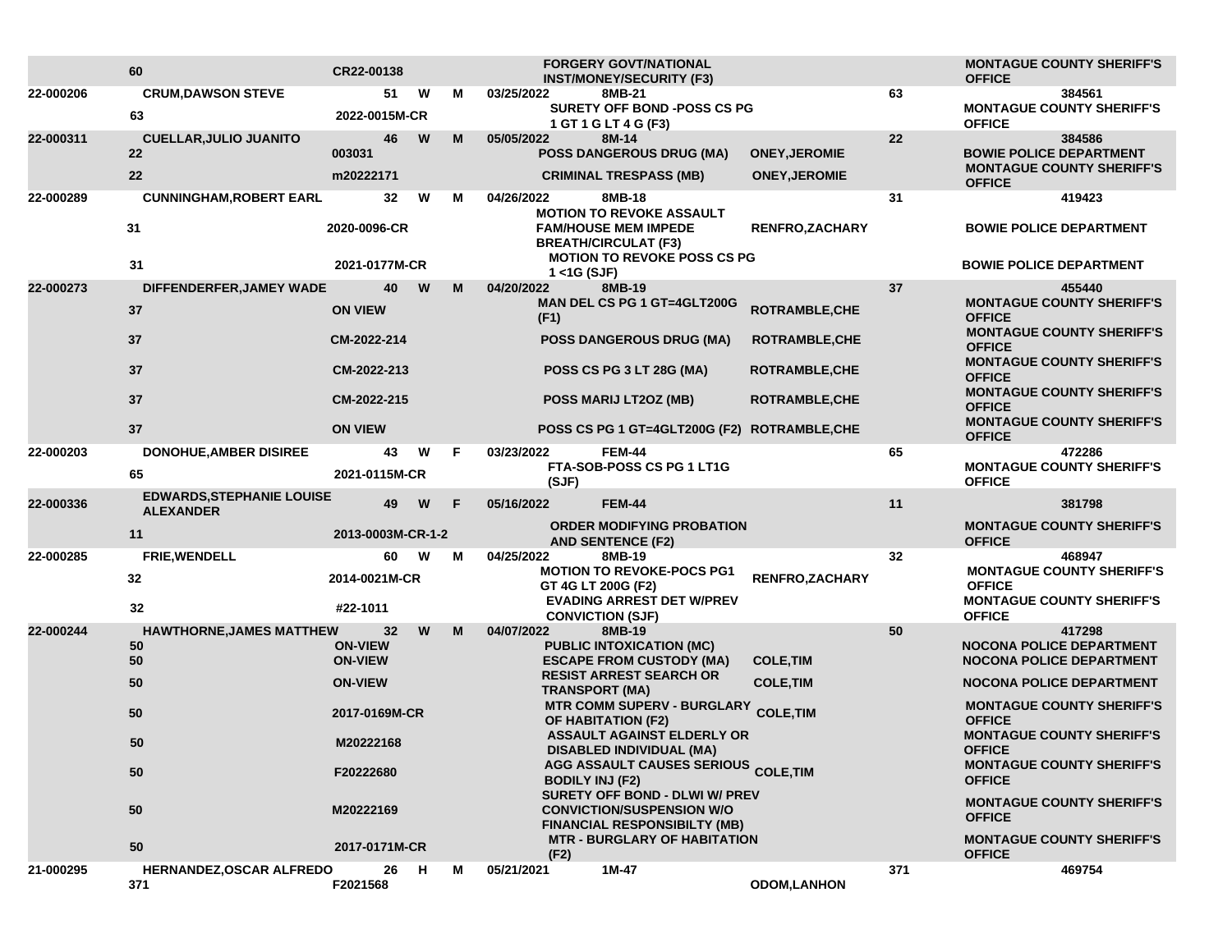|           | 60                                                       | CR22-00138                       |   |    | <b>FORGERY GOVT/NATIONAL</b><br><b>INST/MONEY/SECURITY (F3)</b>                                                                     |                                              |     | <b>MONTAGUE COUNTY SHERIFF'S</b><br><b>OFFICE</b>                                               |
|-----------|----------------------------------------------------------|----------------------------------|---|----|-------------------------------------------------------------------------------------------------------------------------------------|----------------------------------------------|-----|-------------------------------------------------------------------------------------------------|
| 22-000206 | <b>CRUM, DAWSON STEVE</b><br>63                          | 51<br>2022-0015M-CR              | W | м  | 03/25/2022<br>8MB-21<br><b>SURETY OFF BOND -POSS CS PG</b><br>1 GT 1 G LT 4 G (F3)                                                  |                                              | 63  | 384561<br><b>MONTAGUE COUNTY SHERIFF'S</b><br><b>OFFICE</b>                                     |
| 22-000311 | <b>CUELLAR, JULIO JUANITO</b><br>$22 \overline{ }$<br>22 | 46<br>003031<br>m20222171        | W | M  | 05/05/2022<br>8M-14<br><b>POSS DANGEROUS DRUG (MA)</b><br><b>CRIMINAL TRESPASS (MB)</b>                                             | <b>ONEY, JEROMIE</b><br><b>ONEY, JEROMIE</b> | 22  | 384586<br><b>BOWIE POLICE DEPARTMENT</b><br><b>MONTAGUE COUNTY SHERIFF'S</b>                    |
| 22-000289 | <b>CUNNINGHAM, ROBERT EARL</b>                           | 32                               | W | М  | 04/26/2022<br>8MB-18                                                                                                                |                                              | 31  | <b>OFFICE</b><br>419423                                                                         |
|           | 31                                                       | 2020-0096-CR                     |   |    | <b>MOTION TO REVOKE ASSAULT</b><br><b>FAM/HOUSE MEM IMPEDE</b><br><b>BREATH/CIRCULAT (F3)</b><br><b>MOTION TO REVOKE POSS CS PG</b> | <b>RENFRO,ZACHARY</b>                        |     | <b>BOWIE POLICE DEPARTMENT</b>                                                                  |
|           | 31                                                       | 2021-0177M-CR                    |   |    | $1 <$ 4G (SJF)                                                                                                                      |                                              |     | <b>BOWIE POLICE DEPARTMENT</b>                                                                  |
| 22-000273 | DIFFENDERFER, JAMEY WADE<br>37                           | 40<br><b>ON VIEW</b>             | W | м  | 04/20/2022<br>8MB-19<br>MAN DEL CS PG 1 GT=4GLT200G<br>(F1)                                                                         | ROTRAMBLE, CHE                               | 37  | 455440<br><b>MONTAGUE COUNTY SHERIFF'S</b><br><b>OFFICE</b><br><b>MONTAGUE COUNTY SHERIFF'S</b> |
|           | 37                                                       | CM-2022-214                      |   |    | <b>POSS DANGEROUS DRUG (MA)</b>                                                                                                     | <b>ROTRAMBLE, CHE</b>                        |     | <b>OFFICE</b>                                                                                   |
|           | 37                                                       | CM-2022-213                      |   |    | POSS CS PG 3 LT 28G (MA)                                                                                                            | <b>ROTRAMBLE, CHE</b>                        |     | <b>MONTAGUE COUNTY SHERIFF'S</b><br><b>OFFICE</b>                                               |
|           | 37                                                       | CM-2022-215                      |   |    | <b>POSS MARIJ LT2OZ (MB)</b>                                                                                                        | <b>ROTRAMBLE,CHE</b>                         |     | <b>MONTAGUE COUNTY SHERIFF'S</b><br><b>OFFICE</b>                                               |
|           | 37                                                       | <b>ON VIEW</b>                   |   |    | POSS CS PG 1 GT=4GLT200G (F2) ROTRAMBLE,CHE                                                                                         |                                              |     | <b>MONTAGUE COUNTY SHERIFF'S</b><br><b>OFFICE</b>                                               |
| 22-000203 | <b>DONOHUE, AMBER DISIREE</b><br>65                      | 43<br>2021-0115M-CR              | W | F. | <b>FEM-44</b><br>03/23/2022<br>FTA-SOB-POSS CS PG 1 LT1G<br>(SJF)                                                                   |                                              | 65  | 472286<br><b>MONTAGUE COUNTY SHERIFF'S</b><br><b>OFFICE</b>                                     |
| 22-000336 | <b>EDWARDS, STEPHANIE LOUISE</b>                         | 49                               | W | F  | <b>FEM-44</b><br>05/16/2022                                                                                                         |                                              | 11  | 381798                                                                                          |
|           | <b>ALEXANDER</b><br>11                                   | 2013-0003M-CR-1-2                |   |    | <b>ORDER MODIFYING PROBATION</b><br><b>AND SENTENCE (F2)</b>                                                                        |                                              |     | <b>MONTAGUE COUNTY SHERIFF'S</b><br><b>OFFICE</b>                                               |
| 22-000285 | FRIE, WENDELL                                            | 60                               | W | М  | 04/25/2022<br>8MB-19                                                                                                                |                                              | 32  | 468947                                                                                          |
|           | 32                                                       | 2014-0021M-CR                    |   |    | <b>MOTION TO REVOKE-POCS PG1</b><br>GT 4G LT 200G (F2)                                                                              | <b>RENFRO,ZACHARY</b>                        |     | <b>MONTAGUE COUNTY SHERIFF'S</b><br><b>OFFICE</b>                                               |
|           | 32                                                       | #22-1011                         |   |    | <b>EVADING ARREST DET W/PREV</b><br><b>CONVICTION (SJF)</b>                                                                         |                                              |     | <b>MONTAGUE COUNTY SHERIFF'S</b><br><b>OFFICE</b>                                               |
| 22-000244 | <b>HAWTHORNE, JAMES MATTHEW</b><br>50                    | 32<br><b>ON-VIEW</b>             | W | м  | 04/07/2022<br>8MB-19<br><b>PUBLIC INTOXICATION (MC)</b>                                                                             |                                              | 50  | 417298<br><b>NOCONA POLICE DEPARTMENT</b>                                                       |
|           | 50<br>50                                                 | <b>ON-VIEW</b><br><b>ON-VIEW</b> |   |    | <b>ESCAPE FROM CUSTODY (MA)</b><br><b>RESIST ARREST SEARCH OR</b>                                                                   | <b>COLE, TIM</b><br><b>COLE, TIM</b>         |     | <b>NOCONA POLICE DEPARTMENT</b><br><b>NOCONA POLICE DEPARTMENT</b>                              |
|           | 50                                                       | 2017-0169M-CR                    |   |    | <b>TRANSPORT (MA)</b><br><b>MTR COMM SUPERV - BURGLARY</b><br><b>OF HABITATION (F2)</b>                                             | <b>COLE, TIM</b>                             |     | <b>MONTAGUE COUNTY SHERIFF'S</b><br><b>OFFICE</b>                                               |
|           | 50                                                       | M20222168<br>F20222680           |   |    | <b>ASSAULT AGAINST ELDERLY OR</b><br><b>DISABLED INDIVIDUAL (MA)</b>                                                                |                                              |     | <b>MONTAGUE COUNTY SHERIFF'S</b><br><b>OFFICE</b>                                               |
|           | 50                                                       |                                  |   |    | AGG ASSAULT CAUSES SERIOUS COLE, TIM<br><b>BODILY INJ (F2)</b>                                                                      |                                              |     | <b>MONTAGUE COUNTY SHERIFF'S</b><br><b>OFFICE</b>                                               |
|           | 50                                                       | M20222169                        |   |    | <b>SURETY OFF BOND - DLWI W/ PREV</b><br><b>CONVICTION/SUSPENSION W/O</b><br><b>FINANCIAL RESPONSIBILTY (MB)</b>                    |                                              |     | <b>MONTAGUE COUNTY SHERIFF'S</b><br><b>OFFICE</b>                                               |
|           | 50                                                       | 2017-0171M-CR                    |   |    | <b>MTR - BURGLARY OF HABITATION</b><br>(F2)                                                                                         |                                              |     | <b>MONTAGUE COUNTY SHERIFF'S</b><br><b>OFFICE</b>                                               |
| 21-000295 | HERNANDEZ, OSCAR ALFREDO<br>371                          | 26<br>F2021568                   | H | М  | 05/21/2021<br>1M-47                                                                                                                 | <b>ODOM,LANHON</b>                           | 371 | 469754                                                                                          |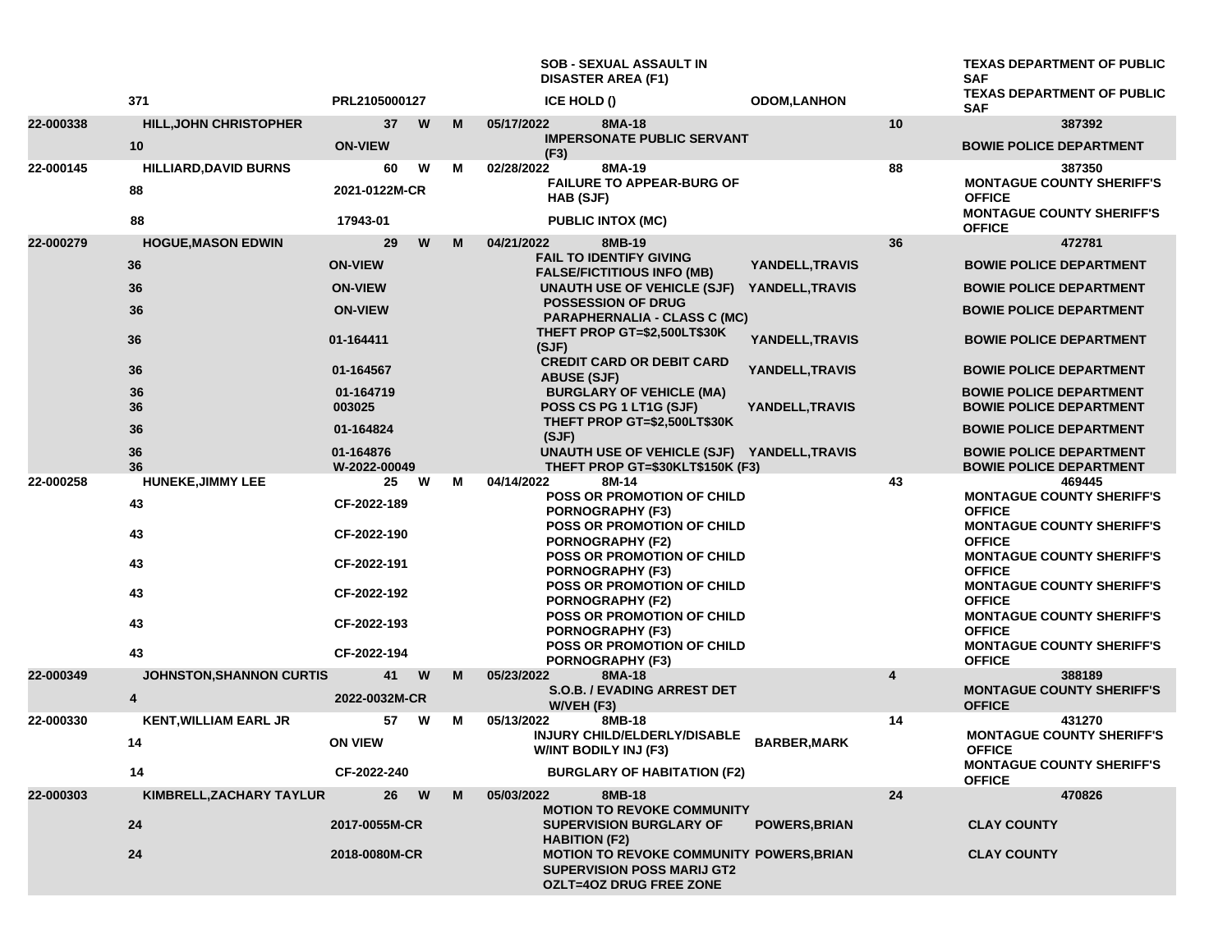**SOB - SEXUAL ASSAULT IN DISASTER AREA (F1)**

**TEXAS DEPARTMENT OF PUBLIC SAF <sup>371</sup> PRL2105000127 ICE HOLD () ODOM,LANHON TEXAS DEPARTMENT OF PUBLIC SAF**

| 22-000338 | <b>HILL, JOHN CHRISTOPHER</b>      | 37                        | W      | M | 05/17/2022<br>8MA-18<br><b>IMPERSONATE PUBLIC SERVANT</b>                                                                                                                                                                                                                                                                               | 10                      | 387392                                                           |
|-----------|------------------------------------|---------------------------|--------|---|-----------------------------------------------------------------------------------------------------------------------------------------------------------------------------------------------------------------------------------------------------------------------------------------------------------------------------------------|-------------------------|------------------------------------------------------------------|
|           | 10                                 | <b>ON-VIEW</b>            |        |   | (F3)                                                                                                                                                                                                                                                                                                                                    |                         | <b>BOWIE POLICE DEPARTMENT</b>                                   |
| 22-000145 | <b>HILLIARD, DAVID BURNS</b><br>88 | 60<br>2021-0122M-CR       | W      | М | 02/28/2022<br>8MA-19<br><b>FAILURE TO APPEAR-BURG OF</b><br><b>HAB (SJF)</b>                                                                                                                                                                                                                                                            | 88                      | 387350<br><b>MONTAGUE COUNTY SHERIFF'S</b><br><b>OFFICE</b>      |
|           | 88                                 | 17943-01                  |        |   | <b>PUBLIC INTOX (MC)</b>                                                                                                                                                                                                                                                                                                                |                         | <b>MONTAGUE COUNTY SHERIFF'S</b><br><b>OFFICE</b>                |
| 22-000279 | <b>HOGUE, MASON EDWIN</b>          | 29                        | W      | M | 04/21/2022<br>8MB-19                                                                                                                                                                                                                                                                                                                    | 36                      | 472781                                                           |
|           | 36                                 | <b>ON-VIEW</b>            |        |   | <b>FAIL TO IDENTIFY GIVING</b><br><b>FALSE/FICTITIOUS INFO (MB)</b><br>UNAUTH USE OF VEHICLE (SJF)<br><b>POSSESSION OF DRUG</b><br><b>PARAPHERNALIA - CLASS C (MC)</b><br>THEFT PROP GT=\$2,500LT\$30K<br>(SJF)<br><b>CREDIT CARD OR DEBIT CARD</b><br><b>ABUSE (SJF)</b><br><b>BURGLARY OF VEHICLE (MA)</b><br>POSS CS PG 1 LT1G (SJF) | YANDELL, TRAVIS         | <b>BOWIE POLICE DEPARTMENT</b>                                   |
|           | 36                                 | <b>ON-VIEW</b>            |        |   |                                                                                                                                                                                                                                                                                                                                         | YANDELL, TRAVIS         | <b>BOWIE POLICE DEPARTMENT</b>                                   |
|           | 36                                 | <b>ON-VIEW</b>            |        |   |                                                                                                                                                                                                                                                                                                                                         |                         | <b>BOWIE POLICE DEPARTMENT</b>                                   |
|           | 36                                 | 01-164411                 |        |   |                                                                                                                                                                                                                                                                                                                                         | YANDELL, TRAVIS         | <b>BOWIE POLICE DEPARTMENT</b>                                   |
|           | 36                                 | 01-164567                 |        |   |                                                                                                                                                                                                                                                                                                                                         | YANDELL, TRAVIS         | <b>BOWIE POLICE DEPARTMENT</b>                                   |
|           | 36<br>36                           | 01-164719<br>003025       |        |   |                                                                                                                                                                                                                                                                                                                                         | YANDELL, TRAVIS         | <b>BOWIE POLICE DEPARTMENT</b><br><b>BOWIE POLICE DEPARTMENT</b> |
|           | 36                                 | 01-164824                 |        |   | THEFT PROP GT=\$2,500LT\$30K<br>(SJF)                                                                                                                                                                                                                                                                                                   |                         | <b>BOWIE POLICE DEPARTMENT</b>                                   |
|           | 36<br>36                           | 01-164876<br>W-2022-00049 |        |   | UNAUTH USE OF VEHICLE (SJF) YANDELL, TRAVIS<br>THEFT PROP GT=\$30KLT\$150K (F3)                                                                                                                                                                                                                                                         |                         | <b>BOWIE POLICE DEPARTMENT</b><br><b>BOWIE POLICE DEPARTMENT</b> |
| 22-000258 | <b>HUNEKE, JIMMY LEE</b>           | 25                        | W      | М | 04/14/2022<br>8M-14                                                                                                                                                                                                                                                                                                                     | 43                      | 469445                                                           |
|           | 43                                 | CF-2022-189               |        |   | <b>POSS OR PROMOTION OF CHILD</b><br><b>PORNOGRAPHY (F3)</b>                                                                                                                                                                                                                                                                            |                         | <b>MONTAGUE COUNTY SHERIFF'S</b><br><b>OFFICE</b>                |
|           | 43                                 | CF-2022-190               |        |   | POSS OR PROMOTION OF CHILD<br><b>PORNOGRAPHY (F2)</b>                                                                                                                                                                                                                                                                                   |                         | <b>MONTAGUE COUNTY SHERIFF'S</b><br><b>OFFICE</b>                |
|           | 43                                 | CF-2022-191               |        |   | POSS OR PROMOTION OF CHILD<br><b>PORNOGRAPHY (F3)</b>                                                                                                                                                                                                                                                                                   |                         | <b>MONTAGUE COUNTY SHERIFF'S</b><br><b>OFFICE</b>                |
|           | 43                                 | CF-2022-192               |        |   | POSS OR PROMOTION OF CHILD<br><b>PORNOGRAPHY (F2)</b><br>POSS OR PROMOTION OF CHILD<br><b>PORNOGRAPHY (F3)</b>                                                                                                                                                                                                                          |                         | <b>MONTAGUE COUNTY SHERIFF'S</b><br><b>OFFICE</b>                |
|           | 43                                 | CF-2022-193               |        |   |                                                                                                                                                                                                                                                                                                                                         |                         | <b>MONTAGUE COUNTY SHERIFF'S</b><br><b>OFFICE</b>                |
|           | 43                                 | CF-2022-194               |        |   | POSS OR PROMOTION OF CHILD<br>PORNOGRAPHY (F3)                                                                                                                                                                                                                                                                                          |                         | <b>MONTAGUE COUNTY SHERIFF'S</b><br><b>OFFICE</b>                |
| 22-000349 | <b>JOHNSTON, SHANNON CURTIS</b>    | 41                        | W      | M | 05/23/2022<br>8MA-18                                                                                                                                                                                                                                                                                                                    | $\overline{\mathbf{4}}$ | 388189                                                           |
|           | 4                                  | 2022-0032M-CR             |        |   | S.O.B. / EVADING ARREST DET<br>W/VEH (F3)                                                                                                                                                                                                                                                                                               |                         | <b>MONTAGUE COUNTY SHERIFF'S</b><br><b>OFFICE</b>                |
| 22-000330 | <b>KENT, WILLIAM EARL JR</b>       | 57                        | W      | М | 05/13/2022<br>8MB-18                                                                                                                                                                                                                                                                                                                    | 14                      | 431270                                                           |
|           | 14                                 | <b>ON VIEW</b>            |        |   | INJURY CHILD/ELDERLY/DISABLE<br><b>BARBER, MARK</b><br>W/INT BODILY INJ (F3)                                                                                                                                                                                                                                                            |                         | <b>MONTAGUE COUNTY SHERIFF'S</b><br><b>OFFICE</b>                |
|           | 14                                 | CF-2022-240               |        |   | <b>BURGLARY OF HABITATION (F2)</b>                                                                                                                                                                                                                                                                                                      |                         | <b>MONTAGUE COUNTY SHERIFF'S</b><br><b>OFFICE</b>                |
| 22-000303 | KIMBRELL, ZACHARY TAYLUR           | 26                        | W<br>M |   | 05/03/2022<br>8MB-18                                                                                                                                                                                                                                                                                                                    | 24                      | 470826                                                           |
|           | 24                                 | 2017-0055M-CR             |        |   | <b>MOTION TO REVOKE COMMUNITY</b><br><b>SUPERVISION BURGLARY OF</b><br><b>HABITION (F2)</b>                                                                                                                                                                                                                                             | <b>POWERS, BRIAN</b>    | <b>CLAY COUNTY</b>                                               |
|           | 24                                 | 2018-0080M-CR             |        |   | <b>MOTION TO REVOKE COMMUNITY POWERS, BRIAN</b><br><b>SUPERVISION POSS MARIJ GT2</b><br><b>OZLT=4OZ DRUG FREE ZONE</b>                                                                                                                                                                                                                  |                         | <b>CLAY COUNTY</b>                                               |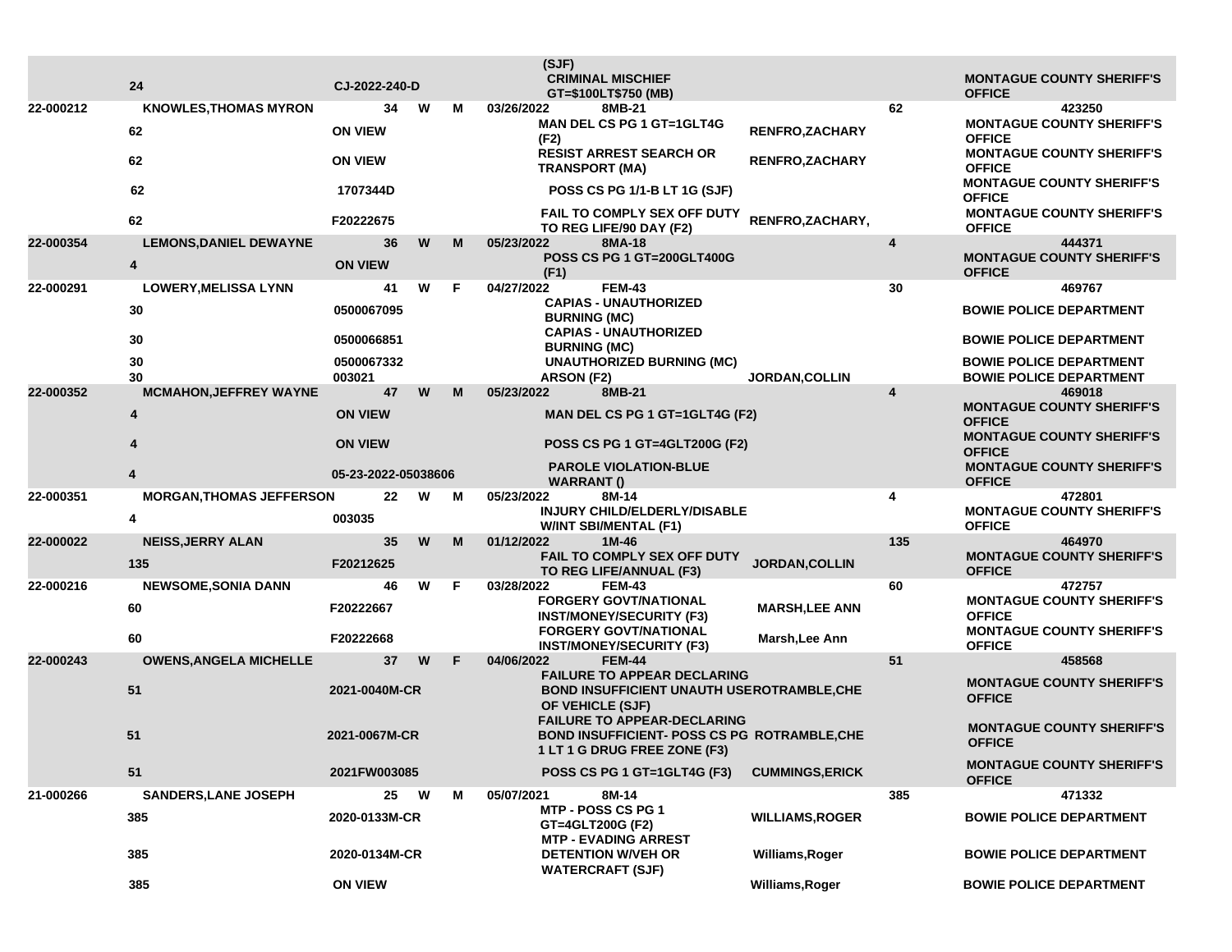|           |                                     |                                                |   |    | (SJF)<br><b>CRIMINAL MISCHIEF</b>                                                                                         |                        |                                                   | <b>MONTAGUE COUNTY SHERIFF'S</b>                            |
|-----------|-------------------------------------|------------------------------------------------|---|----|---------------------------------------------------------------------------------------------------------------------------|------------------------|---------------------------------------------------|-------------------------------------------------------------|
|           | 24                                  | CJ-2022-240-D                                  |   |    | GT=\$100LT\$750 (MB)                                                                                                      |                        |                                                   | <b>OFFICE</b>                                               |
| 22-000212 | <b>KNOWLES, THOMAS MYRON</b>        | 34                                             | W | м  | 03/26/2022<br>8MB-21<br><b>MAN DEL CS PG 1 GT=1GLT4G</b>                                                                  |                        | 62                                                | 423250<br><b>MONTAGUE COUNTY SHERIFF'S</b>                  |
|           | 62                                  | <b>ON VIEW</b>                                 |   |    | (F2)                                                                                                                      | RENFRO, ZACHARY        |                                                   | <b>OFFICE</b>                                               |
|           | 62                                  | <b>ON VIEW</b>                                 |   |    | <b>RESIST ARREST SEARCH OR</b><br><b>TRANSPORT (MA)</b>                                                                   | <b>RENFRO, ZACHARY</b> |                                                   | <b>MONTAGUE COUNTY SHERIFF'S</b><br><b>OFFICE</b>           |
|           | 62                                  | 1707344D                                       |   |    | POSS CS PG 1/1-B LT 1G (SJF)                                                                                              |                        |                                                   | <b>MONTAGUE COUNTY SHERIFF'S</b><br><b>OFFICE</b>           |
|           | 62                                  | F20222675                                      |   |    | FAIL TO COMPLY SEX OFF DUTY<br>TO REG LIFE/90 DAY (F2)                                                                    | RENFRO, ZACHARY,       |                                                   | <b>MONTAGUE COUNTY SHERIFF'S</b><br><b>OFFICE</b>           |
| 22-000354 | <b>LEMONS, DANIEL DEWAYNE</b><br>4  | 36<br><b>ON VIEW</b>                           | W | М  | 05/23/2022<br>8MA-18<br><b>POSS CS PG 1 GT=200GLT400G</b><br>(F1)                                                         |                        | 4                                                 | 444371<br><b>MONTAGUE COUNTY SHERIFF'S</b><br><b>OFFICE</b> |
| 22-000291 | <b>LOWERY, MELISSA LYNN</b>         | 41                                             | W | F. | 04/27/2022<br><b>FEM-43</b>                                                                                               |                        | 30                                                | 469767                                                      |
|           | 30                                  | 0500067095                                     |   |    | <b>CAPIAS - UNAUTHORIZED</b><br><b>BURNING (MC)</b>                                                                       |                        |                                                   | <b>BOWIE POLICE DEPARTMENT</b>                              |
|           | 30                                  | 0500066851                                     |   |    | <b>CAPIAS - UNAUTHORIZED</b><br><b>BURNING (MC)</b>                                                                       |                        |                                                   | <b>BOWIE POLICE DEPARTMENT</b>                              |
|           | 30                                  | 0500067332                                     |   |    | <b>UNAUTHORIZED BURNING (MC)</b>                                                                                          |                        |                                                   | <b>BOWIE POLICE DEPARTMENT</b>                              |
| 22-000352 | 30<br><b>MCMAHON, JEFFREY WAYNE</b> | 003021<br>47                                   | W | М  | ARSON (F2)<br>05/23/2022<br>8MB-21                                                                                        | <b>JORDAN, COLLIN</b>  | 4                                                 | <b>BOWIE POLICE DEPARTMENT</b><br>469018                    |
|           | 4                                   | <b>ON VIEW</b>                                 |   |    | MAN DEL CS PG 1 GT=1GLT4G (F2)                                                                                            |                        | <b>MONTAGUE COUNTY SHERIFF'S</b><br><b>OFFICE</b> |                                                             |
|           | Δ                                   | <b>ON VIEW</b>                                 |   |    | <b>POSS CS PG 1 GT=4GLT200G (F2)</b>                                                                                      |                        |                                                   | <b>MONTAGUE COUNTY SHERIFF'S</b><br><b>OFFICE</b>           |
|           | 4                                   | 05-23-2022-05038606                            |   |    | <b>PAROLE VIOLATION-BLUE</b><br><b>WARRANT()</b>                                                                          |                        | <b>MONTAGUE COUNTY SHERIFF'S</b><br><b>OFFICE</b> |                                                             |
| 22-000351 | <b>MORGAN, THOMAS JEFFERSON</b>     | 22                                             | W | м  | 05/23/2022<br>8M-14<br>INJURY CHILD/ELDERLY/DISABLE                                                                       |                        | 4                                                 | 472801<br><b>MONTAGUE COUNTY SHERIFF'S</b>                  |
|           | 4                                   | 003035                                         |   |    | <b>W/INT SBI/MENTAL (F1)</b>                                                                                              |                        |                                                   | <b>OFFICE</b>                                               |
| 22-000022 | <b>NEISS, JERRY ALAN</b>            | 35                                             | W | м  | 01/12/2022<br>1M-46<br>FAIL TO COMPLY SEX OFF DUTY                                                                        |                        | 135                                               | 464970<br><b>MONTAGUE COUNTY SHERIFF'S</b>                  |
|           | 135                                 | F20212625                                      |   |    | TO REG LIFE/ANNUAL (F3)                                                                                                   | JORDAN, COLLIN         |                                                   | <b>OFFICE</b>                                               |
| 22-000216 | <b>NEWSOME, SONIA DANN</b>          | 46                                             | W | F. | 03/28/2022<br><b>FEM-43</b><br><b>FORGERY GOVT/NATIONAL</b>                                                               |                        | 60                                                | 472757<br><b>MONTAGUE COUNTY SHERIFF'S</b>                  |
|           | 60                                  | F20222667                                      |   |    | <b>INST/MONEY/SECURITY (F3)</b>                                                                                           | <b>MARSH,LEE ANN</b>   |                                                   | <b>OFFICE</b>                                               |
|           | 60                                  | F20222668                                      |   |    | <b>FORGERY GOVT/NATIONAL</b><br><b>INST/MONEY/SECURITY (F3)</b>                                                           | Marsh, Lee Ann         |                                                   | <b>MONTAGUE COUNTY SHERIFF'S</b><br><b>OFFICE</b>           |
| 22-000243 | <b>OWENS, ANGELA MICHELLE</b>       | 37                                             | W | F. | <b>FEM-44</b><br>04/06/2022<br><b>FAILURE TO APPEAR DECLARING</b>                                                         |                        | 51                                                | 458568                                                      |
|           | 51                                  | 2021-0040M-CR<br>2021-0067M-CR                 |   |    | <b>BOND INSUFFICIENT UNAUTH USEROTRAMBLE, CHE</b><br>OF VEHICLE (SJF)                                                     |                        | <b>MONTAGUE COUNTY SHERIFF'S</b><br><b>OFFICE</b> |                                                             |
|           | 51                                  |                                                |   |    | <b>FAILURE TO APPEAR-DECLARING</b><br><b>BOND INSUFFICIENT- POSS CS PG ROTRAMBLE, CHE</b><br>1 LT 1 G DRUG FREE ZONE (F3) |                        |                                                   | <b>MONTAGUE COUNTY SHERIFF'S</b><br><b>OFFICE</b>           |
|           | 51                                  | 2021FW003085                                   |   |    | POSS CS PG 1 GT=1GLT4G (F3)                                                                                               | <b>CUMMINGS, ERICK</b> |                                                   | <b>MONTAGUE COUNTY SHERIFF'S</b><br><b>OFFICE</b>           |
| 21-000266 | <b>SANDERS, LANE JOSEPH</b>         | 25<br>W<br>м<br>2020-0133M-CR<br>2020-0134M-CR |   |    | 05/07/2021<br>8M-14<br>MTP - POSS CS PG 1                                                                                 |                        | 385                                               | 471332                                                      |
|           | 385                                 |                                                |   |    | GT=4GLT200G (F2)<br><b>MTP - EVADING ARREST</b>                                                                           | <b>WILLIAMS, ROGER</b> |                                                   | <b>BOWIE POLICE DEPARTMENT</b>                              |
|           | 385                                 |                                                |   |    | <b>DETENTION W/VEH OR</b>                                                                                                 | Williams, Roger        |                                                   | <b>BOWIE POLICE DEPARTMENT</b>                              |
|           | 385                                 | <b>ON VIEW</b>                                 |   |    | <b>WATERCRAFT (SJF)</b>                                                                                                   | Williams, Roger        |                                                   | <b>BOWIE POLICE DEPARTMENT</b>                              |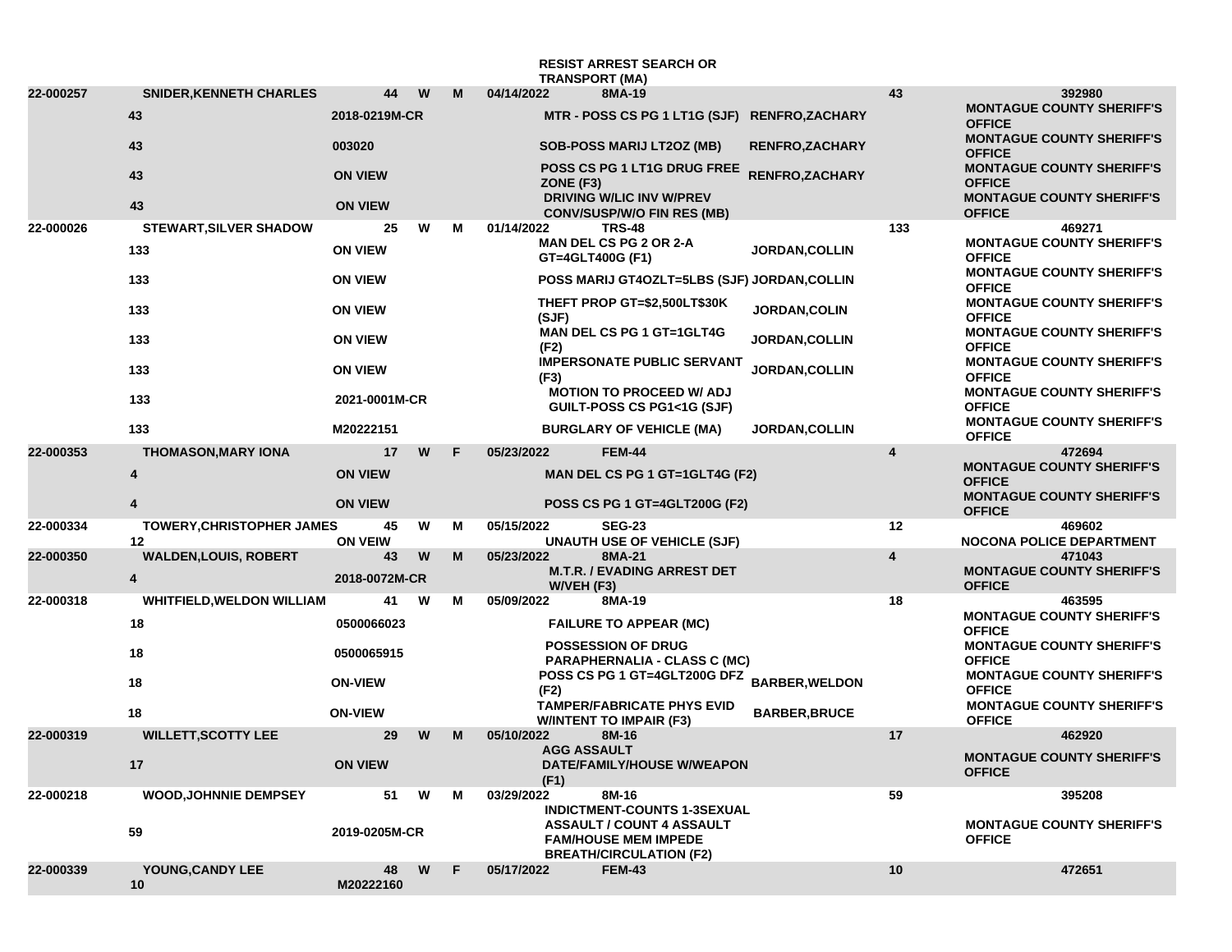|           |                                      |                                  |   |   |            | <b>TRANSPORT (MA)</b>                               | <b>RESIST ARREST SEARCH OR</b>                                                                    |                        |                                                   |                                                                                       |
|-----------|--------------------------------------|----------------------------------|---|---|------------|-----------------------------------------------------|---------------------------------------------------------------------------------------------------|------------------------|---------------------------------------------------|---------------------------------------------------------------------------------------|
| 22-000257 | <b>SNIDER, KENNETH CHARLES</b>       | 44                               | W | М | 04/14/2022 |                                                     | 8MA-19                                                                                            |                        | 43                                                | 392980                                                                                |
|           | 43                                   | 2018-0219M-CR                    |   |   |            |                                                     | MTR - POSS CS PG 1 LT1G (SJF) RENFRO, ZACHARY                                                     |                        |                                                   | <b>MONTAGUE COUNTY SHERIFF'S</b><br><b>OFFICE</b>                                     |
|           | 43                                   | 003020                           |   |   |            |                                                     | <b>SOB-POSS MARIJ LT2OZ (MB)</b>                                                                  | <b>RENFRO, ZACHARY</b> |                                                   | <b>MONTAGUE COUNTY SHERIFF'S</b><br><b>OFFICE</b>                                     |
|           | 43                                   | <b>ON VIEW</b>                   |   |   |            | ZONE (F3)                                           | POSS CS PG 1 LT1G DRUG FREE<br><b>DRIVING W/LIC INV W/PREV</b>                                    | <b>RENFRO, ZACHARY</b> |                                                   | <b>MONTAGUE COUNTY SHERIFF'S</b><br><b>OFFICE</b><br><b>MONTAGUE COUNTY SHERIFF'S</b> |
|           | 43                                   | <b>ON VIEW</b>                   |   |   |            |                                                     | <b>CONV/SUSP/W/O FIN RES (MB)</b>                                                                 |                        |                                                   | <b>OFFICE</b>                                                                         |
| 22-000026 | <b>STEWART, SILVER SHADOW</b><br>133 | 25<br><b>ON VIEW</b>             | W | м | 01/14/2022 |                                                     | <b>TRS-48</b><br><b>MAN DEL CS PG 2 OR 2-A</b><br>GT=4GLT400G (F1)                                | <b>JORDAN, COLLIN</b>  | 133                                               | 469271<br><b>MONTAGUE COUNTY SHERIFF'S</b><br><b>OFFICE</b>                           |
|           | 133                                  | <b>ON VIEW</b>                   |   |   |            |                                                     | POSS MARIJ GT4OZLT=5LBS (SJF) JORDAN, COLLIN                                                      |                        |                                                   | <b>MONTAGUE COUNTY SHERIFF'S</b><br><b>OFFICE</b>                                     |
|           | 133                                  | <b>ON VIEW</b>                   |   |   |            | (SJF)                                               | THEFT PROP GT=\$2,500LT\$30K                                                                      | <b>JORDAN,COLIN</b>    |                                                   | <b>MONTAGUE COUNTY SHERIFF'S</b><br><b>OFFICE</b>                                     |
|           | 133                                  | <b>ON VIEW</b>                   |   |   |            | MAN DEL CS PG 1 GT=1GLT4G<br>JORDAN, COLLIN<br>(F2) |                                                                                                   |                        | <b>MONTAGUE COUNTY SHERIFF'S</b><br><b>OFFICE</b> |                                                                                       |
|           | 133                                  | <b>ON VIEW</b>                   |   |   |            | (F3)                                                | <b>IMPERSONATE PUBLIC SERVANT</b>                                                                 | JORDAN, COLLIN         |                                                   | <b>MONTAGUE COUNTY SHERIFF'S</b><br><b>OFFICE</b>                                     |
|           | 133                                  | 2021-0001M-CR                    |   |   |            |                                                     | <b>MOTION TO PROCEED W/ ADJ</b><br>GUILT-POSS CS PG1<1G (SJF)                                     |                        |                                                   | <b>MONTAGUE COUNTY SHERIFF'S</b><br><b>OFFICE</b>                                     |
|           | 133                                  | M20222151                        |   |   |            |                                                     | <b>BURGLARY OF VEHICLE (MA)</b>                                                                   | <b>JORDAN, COLLIN</b>  |                                                   | <b>MONTAGUE COUNTY SHERIFF'S</b><br><b>OFFICE</b>                                     |
| 22-000353 | <b>THOMASON, MARY IONA</b>           | 17                               | W | F | 05/23/2022 |                                                     | <b>FEM-44</b>                                                                                     |                        | $\overline{\mathbf{4}}$                           | 472694<br><b>MONTAGUE COUNTY SHERIFF'S</b>                                            |
|           | $\overline{\mathbf{4}}$<br>4         | <b>ON VIEW</b><br><b>ON VIEW</b> |   |   |            |                                                     | MAN DEL CS PG 1 GT=1GLT4G (F2)<br>POSS CS PG 1 GT=4GLT200G (F2)                                   |                        |                                                   | <b>OFFICE</b><br><b>MONTAGUE COUNTY SHERIFF'S</b>                                     |
| 22-000334 | TOWERY, CHRISTOPHER JAMES            | 45                               | W | M | 05/15/2022 |                                                     | <b>SEG-23</b>                                                                                     |                        | 12                                                | <b>OFFICE</b><br>469602                                                               |
|           | 12                                   | <b>ON VEIW</b>                   |   |   |            |                                                     | <b>UNAUTH USE OF VEHICLE (SJF)</b>                                                                |                        |                                                   | <b>NOCONA POLICE DEPARTMENT</b>                                                       |
| 22-000350 | <b>WALDEN, LOUIS, ROBERT</b><br>4    | 43<br>2018-0072M-CR              | W | M | 05/23/2022 | W/VEH (F3)                                          | 8MA-21<br><b>M.T.R. / EVADING ARREST DET</b>                                                      |                        | $\overline{\mathbf{4}}$                           | 471043<br><b>MONTAGUE COUNTY SHERIFF'S</b><br><b>OFFICE</b>                           |
| 22-000318 | <b>WHITFIELD, WELDON WILLIAM</b>     | 41                               | W | M | 05/09/2022 |                                                     | 8MA-19                                                                                            |                        | 18                                                | 463595                                                                                |
|           | 18                                   | 0500066023                       |   |   |            |                                                     | <b>FAILURE TO APPEAR (MC)</b>                                                                     |                        |                                                   | <b>MONTAGUE COUNTY SHERIFF'S</b><br><b>OFFICE</b>                                     |
|           | 18                                   | 0500065915                       |   |   |            |                                                     | <b>POSSESSION OF DRUG</b><br><b>PARAPHERNALIA - CLASS C (MC)</b>                                  |                        |                                                   | <b>MONTAGUE COUNTY SHERIFF'S</b><br><b>OFFICE</b>                                     |
|           | 18                                   | <b>ON-VIEW</b>                   |   |   |            | (F2)                                                | POSS CS PG 1 GT=4GLT200G DFZ<br><b>TAMPER/FABRICATE PHYS EVID</b>                                 | <b>BARBER, WELDON</b>  |                                                   | <b>MONTAGUE COUNTY SHERIFF'S</b><br><b>OFFICE</b><br><b>MONTAGUE COUNTY SHERIFF'S</b> |
|           | 18                                   | <b>ON-VIEW</b>                   |   |   |            |                                                     | <b>W/INTENT TO IMPAIR (F3)</b>                                                                    | <b>BARBER, BRUCE</b>   |                                                   | <b>OFFICE</b>                                                                         |
| 22-000319 | <b>WILLETT, SCOTTY LEE</b>           | 29                               | W | M | 05/10/2022 | <b>AGG ASSAULT</b>                                  | 8M-16                                                                                             |                        | 17                                                | 462920                                                                                |
|           | 17                                   | <b>ON VIEW</b>                   |   |   |            | (F1)                                                | DATE/FAMILY/HOUSE W/WEAPON                                                                        |                        |                                                   | <b>MONTAGUE COUNTY SHERIFF'S</b><br><b>OFFICE</b>                                     |
| 22-000218 | <b>WOOD, JOHNNIE DEMPSEY</b>         | 51                               | W | М | 03/29/2022 |                                                     | 8M-16<br><b>INDICTMENT-COUNTS 1-3SEXUAL</b>                                                       |                        | 59                                                | 395208                                                                                |
|           | 59                                   | 2019-0205M-CR                    |   |   |            |                                                     | <b>ASSAULT / COUNT 4 ASSAULT</b><br><b>FAM/HOUSE MEM IMPEDE</b><br><b>BREATH/CIRCULATION (F2)</b> |                        |                                                   | <b>MONTAGUE COUNTY SHERIFF'S</b><br><b>OFFICE</b>                                     |
| 22-000339 | YOUNG, CANDY LEE<br>10               | 48<br>M20222160                  | W | E | 05/17/2022 |                                                     | <b>FEM-43</b>                                                                                     |                        | 10                                                | 472651                                                                                |